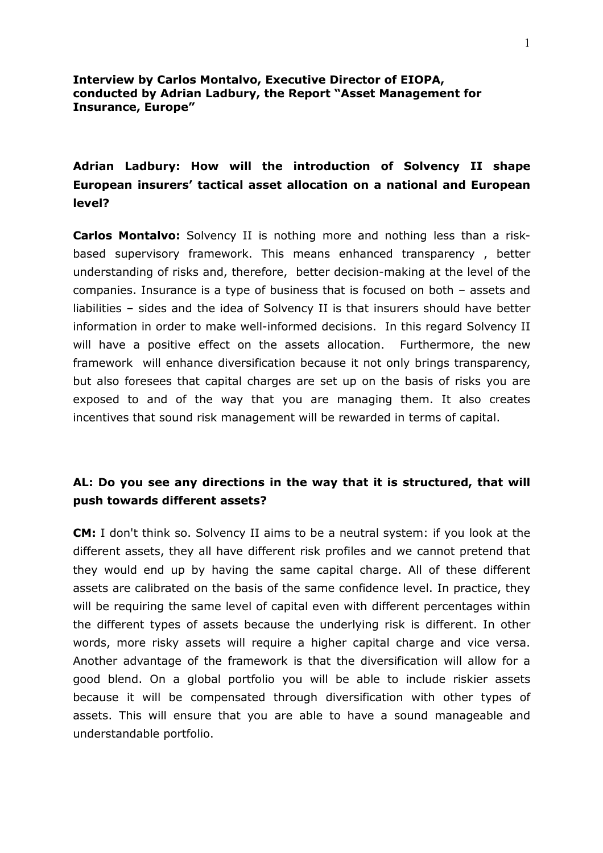### **Interview by Carlos Montalvo, Executive Director of EIOPA, conducted by Adrian Ladbury, the Report "Asset Management for Insurance, Europe"**

## **Adrian Ladbury: How will the introduction of Solvency II shape European insurers' tactical asset allocation on a national and European level?**

**Carlos Montalvo:** Solvency II is nothing more and nothing less than a risk based supervisory framework. This means enhanced transparency , better understanding of risks and, therefore, better decision-making at the level of the companies. Insurance is a type of business that is focused on both – assets and liabilities – sides and the idea of Solvency II is that insurers should have better information in order to make well-informed decisions. In this regard Solvency II will have a positive effect on the assets allocation. Furthermore, the new framework will enhance diversification because it not only brings transparency, but also foresees that capital charges are set up on the basis of risks you are exposed to and of the way that you are managing them. It also creates incentives that sound risk management will be rewarded in terms of capital.

## **AL: Do you see any directions in the way that it is structured, that will push towards different assets?**

**CM:** I don't think so. Solvency II aims to be a neutral system: if you look at the different assets, they all have different risk profiles and we cannot pretend that they would end up by having the same capital charge. All of these different assets are calibrated on the basis of the same confidence level. In practice, they will be requiring the same level of capital even with different percentages within the different types of assets because the underlying risk is different. In other words, more risky assets will require a higher capital charge and vice versa. Another advantage of the framework is that the diversification will allow for a good blend. On a global portfolio you will be able to include riskier assets because it will be compensated through diversification with other types of assets. This will ensure that you are able to have a sound manageable and understandable portfolio.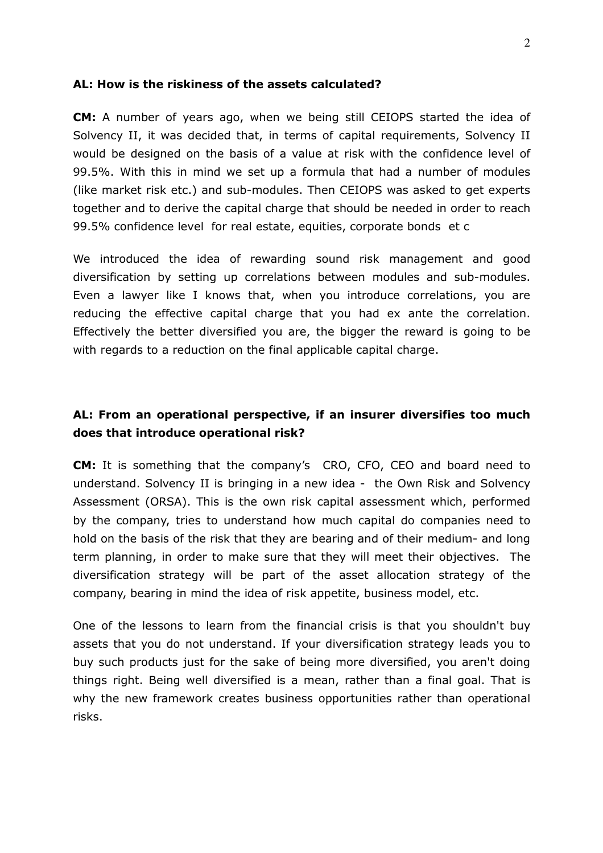### **AL: How is the riskiness of the assets calculated?**

**CM:** A number of years ago, when we being still CEIOPS started the idea of Solvency II, it was decided that, in terms of capital requirements, Solvency II would be designed on the basis of a value at risk with the confidence level of 99.5%. With this in mind we set up a formula that had a number of modules (like market risk etc.) and sub-modules. Then CEIOPS was asked to get experts together and to derive the capital charge that should be needed in order to reach 99.5% confidence level for real estate, equities, corporate bonds et c

We introduced the idea of rewarding sound risk management and good diversification by setting up correlations between modules and sub-modules. Even a lawyer like I knows that, when you introduce correlations, you are reducing the effective capital charge that you had ex ante the correlation. Effectively the better diversified you are, the bigger the reward is going to be with regards to a reduction on the final applicable capital charge.

## **AL: From an operational perspective, if an insurer diversifies too much does that introduce operational risk?**

**CM:** It is something that the company's CRO, CFO, CEO and board need to understand. Solvency II is bringing in a new idea - the Own Risk and Solvency Assessment (ORSA). This is the own risk capital assessment which, performed by the company, tries to understand how much capital do companies need to hold on the basis of the risk that they are bearing and of their medium- and long term planning, in order to make sure that they will meet their objectives. The diversification strategy will be part of the asset allocation strategy of the company, bearing in mind the idea of risk appetite, business model, etc.

One of the lessons to learn from the financial crisis is that you shouldn't buy assets that you do not understand. If your diversification strategy leads you to buy such products just for the sake of being more diversified, you aren't doing things right. Being well diversified is a mean, rather than a final goal. That is why the new framework creates business opportunities rather than operational risks.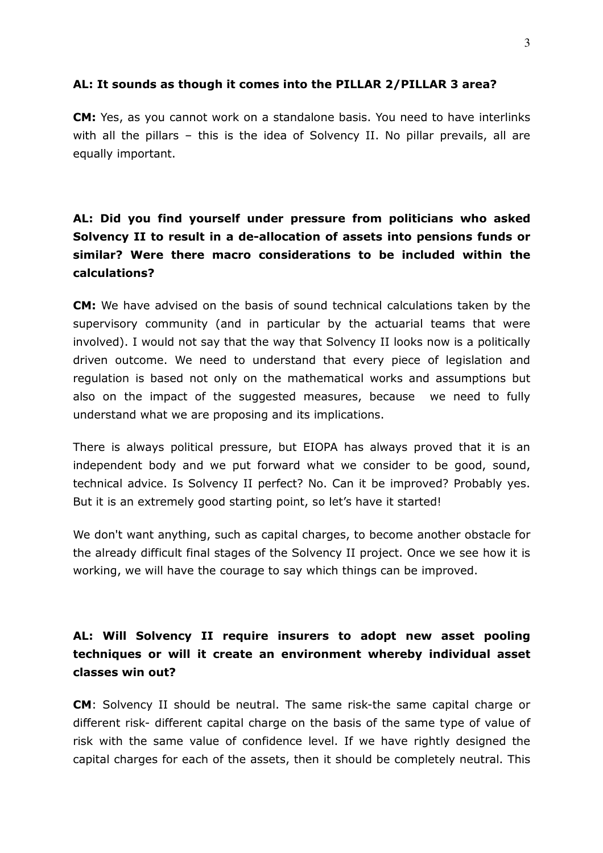### **AL: It sounds as though it comes into the PILLAR 2/PILLAR 3 area?**

**CM:** Yes, as you cannot work on a standalone basis. You need to have interlinks with all the pillars – this is the idea of Solvency II. No pillar prevails, all are equally important.

# **AL: Did you find yourself under pressure from politicians who asked**  Solvency II to result in a de-allocation of assets into pensions funds or **similar? Were there macro considerations to be included within the calculations?**

**CM:** We have advised on the basis of sound technical calculations taken by the supervisory community (and in particular by the actuarial teams that were involved). I would not say that the way that Solvency II looks now is a politically driven outcome. We need to understand that every piece of legislation and regulation is based not only on the mathematical works and assumptions but also on the impact of the suggested measures, because we need to fully understand what we are proposing and its implications.

There is always political pressure, but EIOPA has always proved that it is an independent body and we put forward what we consider to be good, sound, technical advice. Is Solvency II perfect? No. Can it be improved? Probably yes. But it is an extremely good starting point, so let's have it started!

We don't want anything, such as capital charges, to become another obstacle for the already difficult final stages of the Solvency II project. Once we see how it is working, we will have the courage to say which things can be improved.

# **AL: Will Solvency II require insurers to adopt new asset pooling techniques or will it create an environment whereby individual asset classes win out?**

**CM**: Solvency II should be neutral. The same risk-the same capital charge or different risk- different capital charge on the basis of the same type of value of risk with the same value of confidence level. If we have rightly designed the capital charges for each of the assets, then it should be completely neutral. This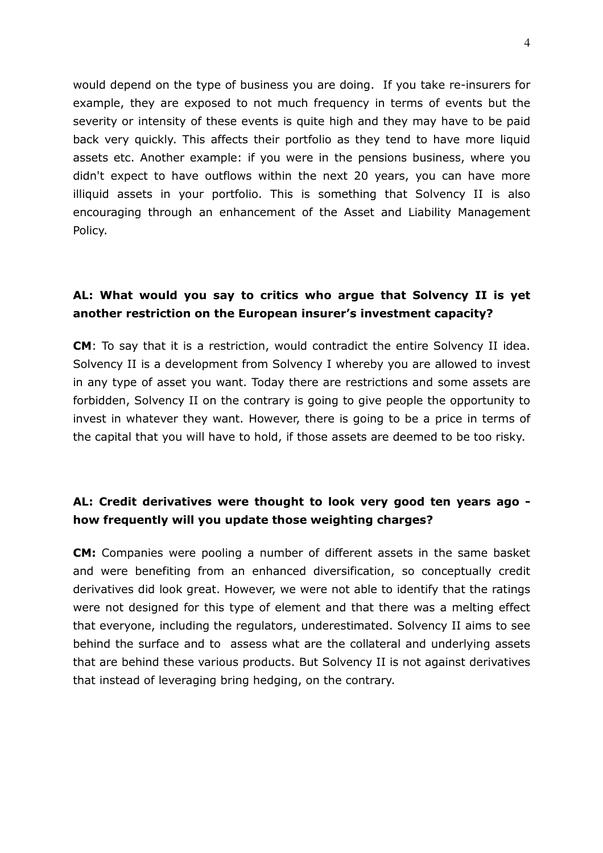would depend on the type of business you are doing. If you take re-insurers for example, they are exposed to not much frequency in terms of events but the severity or intensity of these events is quite high and they may have to be paid back very quickly. This affects their portfolio as they tend to have more liquid assets etc. Another example: if you were in the pensions business, where you didn't expect to have outflows within the next 20 years, you can have more illiquid assets in your portfolio. This is something that Solvency II is also encouraging through an enhancement of the Asset and Liability Management Policy.

## **AL: What would you say to critics who argue that Solvency II is yet another restriction on the European insurer's investment capacity?**

**CM**: To say that it is a restriction, would contradict the entire Solvency II idea. Solvency II is a development from Solvency I whereby you are allowed to invest in any type of asset you want. Today there are restrictions and some assets are forbidden, Solvency II on the contrary is going to give people the opportunity to invest in whatever they want. However, there is going to be a price in terms of the capital that you will have to hold, if those assets are deemed to be too risky.

## AL: Credit derivatives were thought to look very good ten years ago **how frequently will you update those weighting charges?**

**CM:** Companies were pooling a number of different assets in the same basket and were benefiting from an enhanced diversification, so conceptually credit derivatives did look great. However, we were not able to identify that the ratings were not designed for this type of element and that there was a melting effect that everyone, including the regulators, underestimated. Solvency II aims to see behind the surface and to assess what are the collateral and underlying assets that are behind these various products. But Solvency II is not against derivatives that instead of leveraging bring hedging, on the contrary.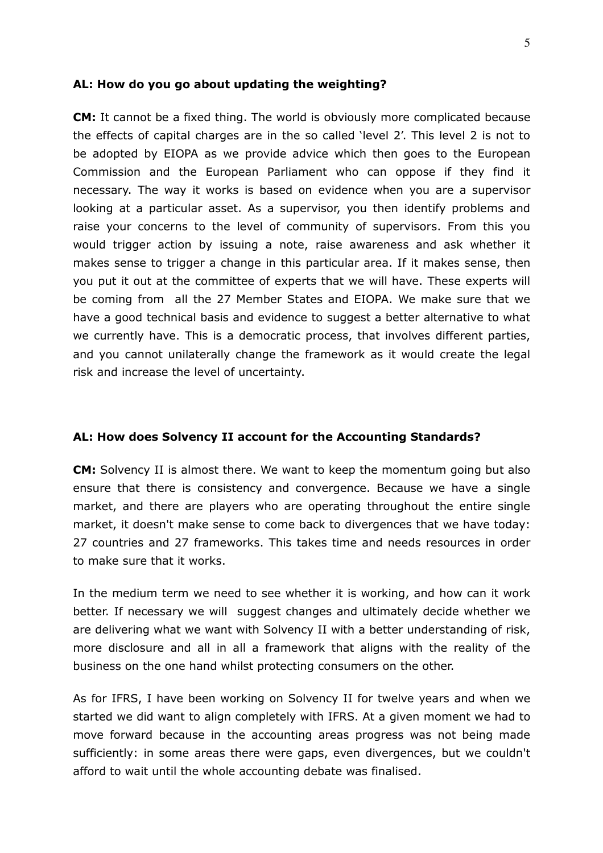#### **AL: How do you go about updating the weighting?**

**CM:** It cannot be a fixed thing. The world is obviously more complicated because the effects of capital charges are in the so called 'level 2'. This level 2 is not to be adopted by EIOPA as we provide advice which then goes to the European Commission and the European Parliament who can oppose if they find it necessary. The way it works is based on evidence when you are a supervisor looking at a particular asset. As a supervisor, you then identify problems and raise your concerns to the level of community of supervisors. From this you would trigger action by issuing a note, raise awareness and ask whether it makes sense to trigger a change in this particular area. If it makes sense, then you put it out at the committee of experts that we will have. These experts will be coming from all the 27 Member States and EIOPA. We make sure that we have a good technical basis and evidence to suggest a better alternative to what we currently have. This is a democratic process, that involves different parties, and you cannot unilaterally change the framework as it would create the legal risk and increase the level of uncertainty.

#### **AL: How does Solvency II account for the Accounting Standards?**

**CM:** Solvency II is almost there. We want to keep the momentum going but also ensure that there is consistency and convergence. Because we have a single market, and there are players who are operating throughout the entire single market, it doesn't make sense to come back to divergences that we have today: 27 countries and 27 frameworks. This takes time and needs resources in order to make sure that it works.

In the medium term we need to see whether it is working, and how can it work better. If necessary we will suggest changes and ultimately decide whether we are delivering what we want with Solvency II with a better understanding of risk, more disclosure and all in all a framework that aligns with the reality of the business on the one hand whilst protecting consumers on the other.

As for IFRS, I have been working on Solvency II for twelve years and when we started we did want to align completely with IFRS. At a given moment we had to move forward because in the accounting areas progress was not being made sufficiently: in some areas there were gaps, even divergences, but we couldn't afford to wait until the whole accounting debate was finalised.